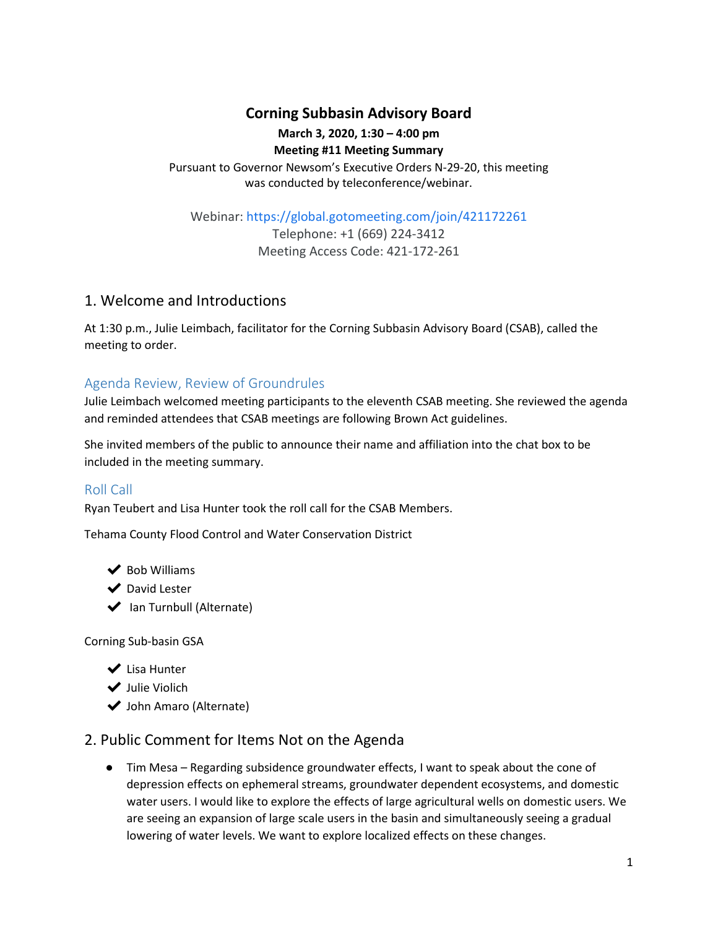# **Corning Subbasin Advisory Board**

### **March 3, 2020, 1:30 – 4:00 pm**

**Meeting #11 Meeting Summary** Pursuant to Governor Newsom's Executive Orders N-29-20, this meeting was conducted by teleconference/webinar.

Webinar:<https://global.gotomeeting.com/join/421172261>

Telephone: +1 (669) 224-3412 Meeting Access Code: 421-172-261

# 1. Welcome and Introductions

At 1:30 p.m., Julie Leimbach, facilitator for the Corning Subbasin Advisory Board (CSAB), called the meeting to order.

## Agenda Review, Review of Groundrules

Julie Leimbach welcomed meeting participants to the eleventh CSAB meeting. She reviewed the agenda and reminded attendees that CSAB meetings are following Brown Act guidelines.

She invited members of the public to announce their name and affiliation into the chat box to be included in the meeting summary.

## Roll Call

Ryan Teubert and Lisa Hunter took the roll call for the CSAB Members.

Tehama County Flood Control and Water Conservation District

◆ Bob Williams

◆ David Lester

◆ Ian Turnbull (Alternate)

Corning Sub-basin GSA

- ✔ Lisa Hunter
- ◆ Julie Violich
- ◆ John Amaro (Alternate)

# 2. Public Comment for Items Not on the Agenda

● Tim Mesa – Regarding subsidence groundwater effects, I want to speak about the cone of depression effects on ephemeral streams, groundwater dependent ecosystems, and domestic water users. I would like to explore the effects of large agricultural wells on domestic users. We are seeing an expansion of large scale users in the basin and simultaneously seeing a gradual lowering of water levels. We want to explore localized effects on these changes.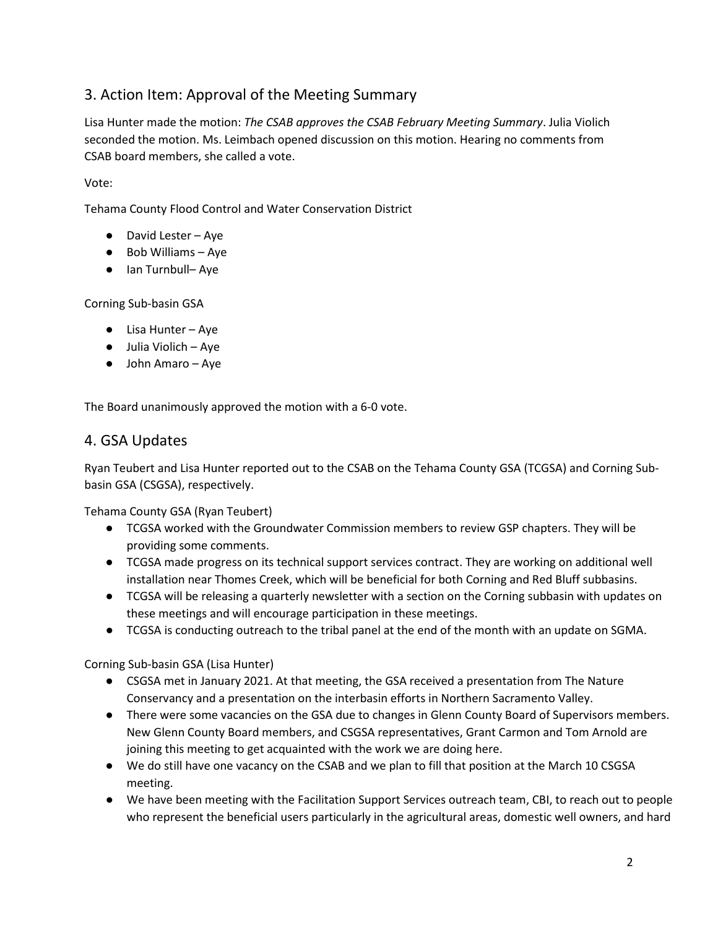# 3. Action Item: Approval of the Meeting Summary

Lisa Hunter made the motion: *The CSAB approves the CSAB February Meeting Summary*. Julia Violich seconded the motion. Ms. Leimbach opened discussion on this motion. Hearing no comments from CSAB board members, she called a vote.

Vote:

Tehama County Flood Control and Water Conservation District

- David Lester Aye
- Bob Williams Aye
- Ian Turnbull– Aye

Corning Sub-basin GSA

- Lisa Hunter Aye
- Julia Violich Aye
- John Amaro Aye

The Board unanimously approved the motion with a 6-0 vote.

## 4. GSA Updates

Ryan Teubert and Lisa Hunter reported out to the CSAB on the Tehama County GSA (TCGSA) and Corning Subbasin GSA (CSGSA), respectively.

Tehama County GSA (Ryan Teubert)

- TCGSA worked with the Groundwater Commission members to review GSP chapters. They will be providing some comments.
- TCGSA made progress on its technical support services contract. They are working on additional well installation near Thomes Creek, which will be beneficial for both Corning and Red Bluff subbasins.
- TCGSA will be releasing a quarterly newsletter with a section on the Corning subbasin with updates on these meetings and will encourage participation in these meetings.
- TCGSA is conducting outreach to the tribal panel at the end of the month with an update on SGMA.

Corning Sub-basin GSA (Lisa Hunter)

- CSGSA met in January 2021. At that meeting, the GSA received a presentation from The Nature Conservancy and a presentation on the interbasin efforts in Northern Sacramento Valley.
- There were some vacancies on the GSA due to changes in Glenn County Board of Supervisors members. New Glenn County Board members, and CSGSA representatives, Grant Carmon and Tom Arnold are joining this meeting to get acquainted with the work we are doing here.
- We do still have one vacancy on the CSAB and we plan to fill that position at the March 10 CSGSA meeting.
- We have been meeting with the Facilitation Support Services outreach team, CBI, to reach out to people who represent the beneficial users particularly in the agricultural areas, domestic well owners, and hard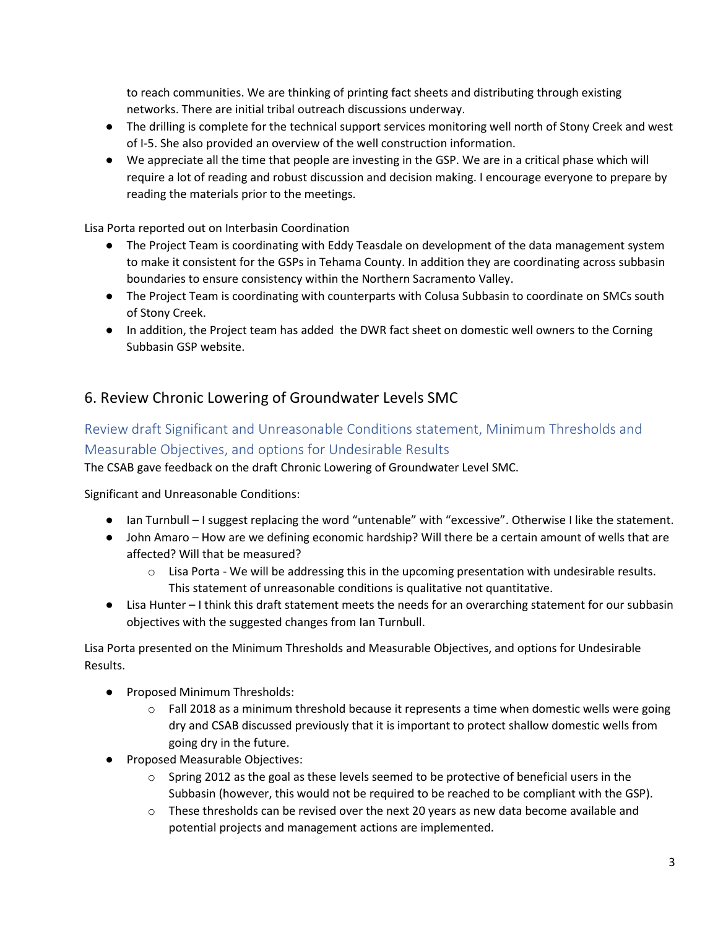to reach communities. We are thinking of printing fact sheets and distributing through existing networks. There are initial tribal outreach discussions underway.

- The drilling is complete for the technical support services monitoring well north of Stony Creek and west of I-5. She also provided an overview of the well construction information.
- We appreciate all the time that people are investing in the GSP. We are in a critical phase which will require a lot of reading and robust discussion and decision making. I encourage everyone to prepare by reading the materials prior to the meetings.

Lisa Porta reported out on Interbasin Coordination

- The Project Team is coordinating with Eddy Teasdale on development of the data management system to make it consistent for the GSPs in Tehama County. In addition they are coordinating across subbasin boundaries to ensure consistency within the Northern Sacramento Valley.
- The Project Team is coordinating with counterparts with Colusa Subbasin to coordinate on SMCs south of Stony Creek.
- In addition, the Project team has added the DWR fact sheet on domestic well owners to the Corning Subbasin GSP website.

# 6. Review Chronic Lowering of Groundwater Levels SMC

# Review draft Significant and Unreasonable Conditions statement, Minimum Thresholds and Measurable Objectives, and options for Undesirable Results

The CSAB gave feedback on the draft Chronic Lowering of Groundwater Level SMC.

Significant and Unreasonable Conditions:

- Ian Turnbull I suggest replacing the word "untenable" with "excessive". Otherwise I like the statement.
- John Amaro How are we defining economic hardship? Will there be a certain amount of wells that are affected? Will that be measured?
	- $\circ$  Lisa Porta We will be addressing this in the upcoming presentation with undesirable results. This statement of unreasonable conditions is qualitative not quantitative.
- Lisa Hunter I think this draft statement meets the needs for an overarching statement for our subbasin objectives with the suggested changes from Ian Turnbull.

Lisa Porta presented on the Minimum Thresholds and Measurable Objectives, and options for Undesirable Results.

- Proposed Minimum Thresholds:
	- $\circ$  Fall 2018 as a minimum threshold because it represents a time when domestic wells were going dry and CSAB discussed previously that it is important to protect shallow domestic wells from going dry in the future.
- Proposed Measurable Objectives:
	- o Spring 2012 as the goal as these levels seemed to be protective of beneficial users in the Subbasin (however, this would not be required to be reached to be compliant with the GSP).
	- o These thresholds can be revised over the next 20 years as new data become available and potential projects and management actions are implemented.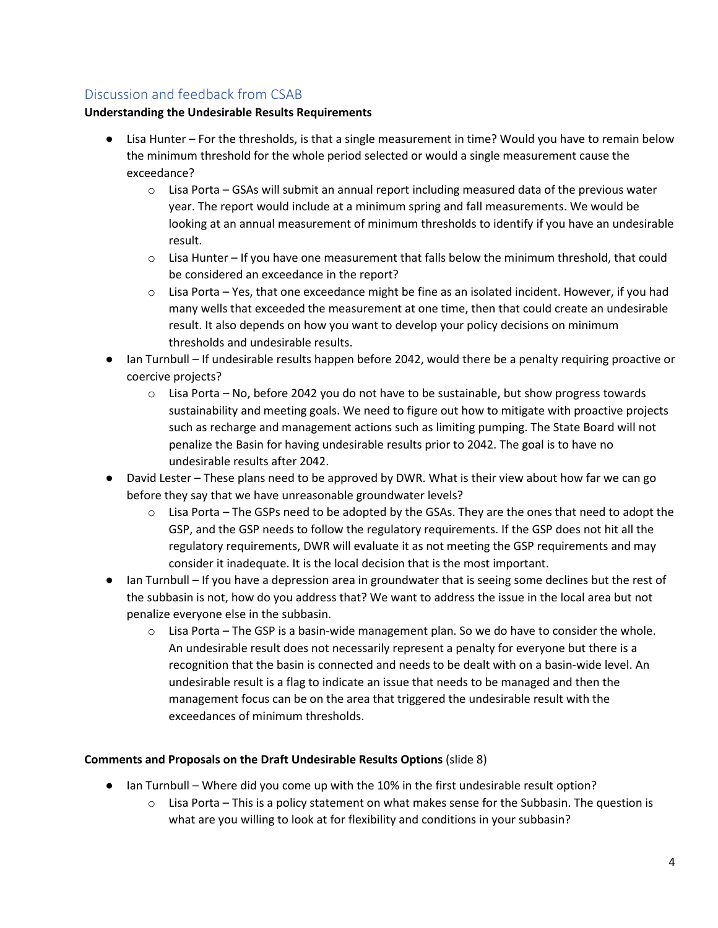# Discussion and feedback from CSAB

### **Understanding the Undesirable Results Requirements**

- Lisa Hunter For the thresholds, is that a single measurement in time? Would you have to remain below the minimum threshold for the whole period selected or would a single measurement cause the exceedance?
	- $\circ$  Lisa Porta GSAs will submit an annual report including measured data of the previous water year. The report would include at a minimum spring and fall measurements. We would be looking at an annual measurement of minimum thresholds to identify if you have an undesirable result.
	- $\circ$  Lisa Hunter If you have one measurement that falls below the minimum threshold, that could be considered an exceedance in the report?
	- $\circ$  Lisa Porta Yes, that one exceedance might be fine as an isolated incident. However, if you had many wells that exceeded the measurement at one time, then that could create an undesirable result. It also depends on how you want to develop your policy decisions on minimum thresholds and undesirable results.
- Ian Turnbull If undesirable results happen before 2042, would there be a penalty requiring proactive or coercive projects?
	- $\circ$  Lisa Porta No, before 2042 you do not have to be sustainable, but show progress towards sustainability and meeting goals. We need to figure out how to mitigate with proactive projects such as recharge and management actions such as limiting pumping. The State Board will not penalize the Basin for having undesirable results prior to 2042. The goal is to have no undesirable results after 2042.
- David Lester These plans need to be approved by DWR. What is their view about how far we can go before they say that we have unreasonable groundwater levels?
	- $\circ$  Lisa Porta The GSPs need to be adopted by the GSAs. They are the ones that need to adopt the GSP, and the GSP needs to follow the regulatory requirements. If the GSP does not hit all the regulatory requirements, DWR will evaluate it as not meeting the GSP requirements and may consider it inadequate. It is the local decision that is the most important.
- Ian Turnbull If you have a depression area in groundwater that is seeing some declines but the rest of the subbasin is not, how do you address that? We want to address the issue in the local area but not penalize everyone else in the subbasin.
	- $\circ$  Lisa Porta The GSP is a basin-wide management plan. So we do have to consider the whole. An undesirable result does not necessarily represent a penalty for everyone but there is a recognition that the basin is connected and needs to be dealt with on a basin-wide level. An undesirable result is a flag to indicate an issue that needs to be managed and then the management focus can be on the area that triggered the undesirable result with the exceedances of minimum thresholds.

#### **Comments and Proposals on the Draft Undesirable Results Options** (slide 8)

- Ian Turnbull Where did you come up with the 10% in the first undesirable result option?
	- o Lisa Porta This is a policy statement on what makes sense for the Subbasin. The question is what are you willing to look at for flexibility and conditions in your subbasin?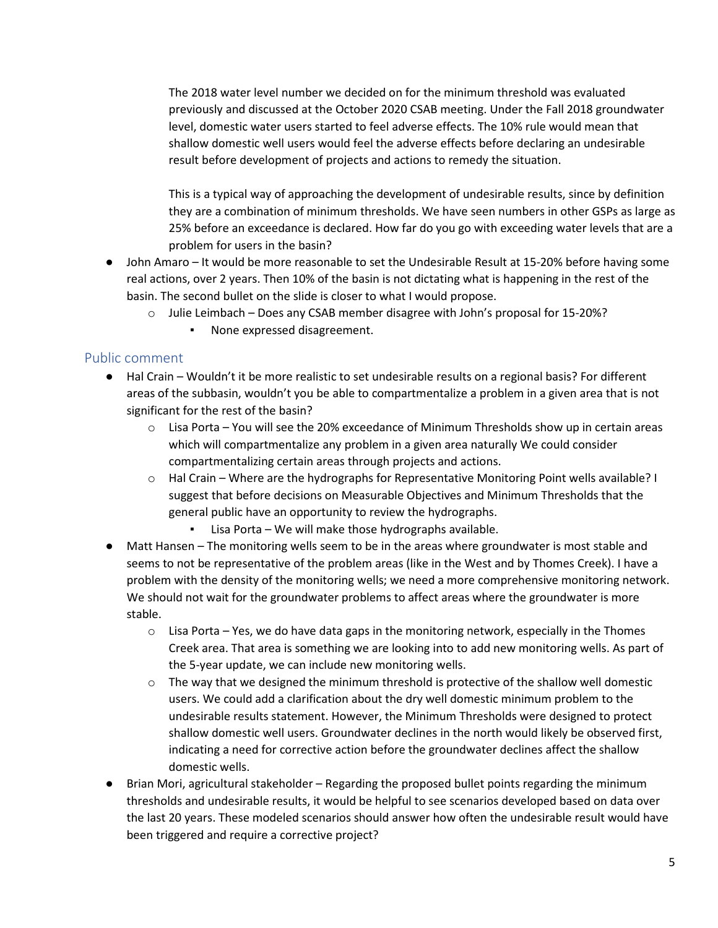The 2018 water level number we decided on for the minimum threshold was evaluated previously and discussed at the October 2020 CSAB meeting. Under the Fall 2018 groundwater level, domestic water users started to feel adverse effects. The 10% rule would mean that shallow domestic well users would feel the adverse effects before declaring an undesirable result before development of projects and actions to remedy the situation.

This is a typical way of approaching the development of undesirable results, since by definition they are a combination of minimum thresholds. We have seen numbers in other GSPs as large as 25% before an exceedance is declared. How far do you go with exceeding water levels that are a problem for users in the basin?

- John Amaro It would be more reasonable to set the Undesirable Result at 15-20% before having some real actions, over 2 years. Then 10% of the basin is not dictating what is happening in the rest of the basin. The second bullet on the slide is closer to what I would propose.
	- o Julie Leimbach Does any CSAB member disagree with John's proposal for 15-20%?
		- None expressed disagreement.

### Public comment

- Hal Crain Wouldn't it be more realistic to set undesirable results on a regional basis? For different areas of the subbasin, wouldn't you be able to compartmentalize a problem in a given area that is not significant for the rest of the basin?
	- $\circ$  Lisa Porta You will see the 20% exceedance of Minimum Thresholds show up in certain areas which will compartmentalize any problem in a given area naturally We could consider compartmentalizing certain areas through projects and actions.
	- $\circ$  Hal Crain Where are the hydrographs for Representative Monitoring Point wells available? I suggest that before decisions on Measurable Objectives and Minimum Thresholds that the general public have an opportunity to review the hydrographs.
		- Lisa Porta We will make those hydrographs available.
- Matt Hansen The monitoring wells seem to be in the areas where groundwater is most stable and seems to not be representative of the problem areas (like in the West and by Thomes Creek). I have a problem with the density of the monitoring wells; we need a more comprehensive monitoring network. We should not wait for the groundwater problems to affect areas where the groundwater is more stable.
	- $\circ$  Lisa Porta Yes, we do have data gaps in the monitoring network, especially in the Thomes Creek area. That area is something we are looking into to add new monitoring wells. As part of the 5-year update, we can include new monitoring wells.
	- $\circ$  The way that we designed the minimum threshold is protective of the shallow well domestic users. We could add a clarification about the dry well domestic minimum problem to the undesirable results statement. However, the Minimum Thresholds were designed to protect shallow domestic well users. Groundwater declines in the north would likely be observed first, indicating a need for corrective action before the groundwater declines affect the shallow domestic wells.
- Brian Mori, agricultural stakeholder Regarding the proposed bullet points regarding the minimum thresholds and undesirable results, it would be helpful to see scenarios developed based on data over the last 20 years. These modeled scenarios should answer how often the undesirable result would have been triggered and require a corrective project?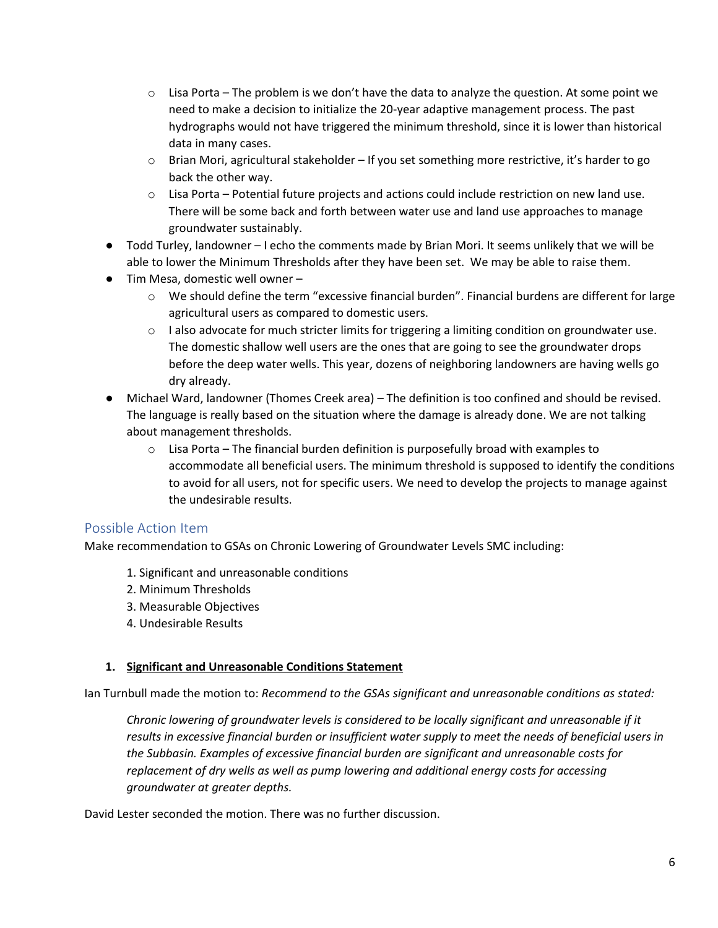- $\circ$  Lisa Porta The problem is we don't have the data to analyze the question. At some point we need to make a decision to initialize the 20-year adaptive management process. The past hydrographs would not have triggered the minimum threshold, since it is lower than historical data in many cases.
- o Brian Mori, agricultural stakeholder If you set something more restrictive, it's harder to go back the other way.
- $\circ$  Lisa Porta Potential future projects and actions could include restriction on new land use. There will be some back and forth between water use and land use approaches to manage groundwater sustainably.
- Todd Turley, landowner I echo the comments made by Brian Mori. It seems unlikely that we will be able to lower the Minimum Thresholds after they have been set. We may be able to raise them.
- Tim Mesa, domestic well owner
	- o We should define the term "excessive financial burden". Financial burdens are different for large agricultural users as compared to domestic users.
	- $\circ$  I also advocate for much stricter limits for triggering a limiting condition on groundwater use. The domestic shallow well users are the ones that are going to see the groundwater drops before the deep water wells. This year, dozens of neighboring landowners are having wells go dry already.
- Michael Ward, landowner (Thomes Creek area) The definition is too confined and should be revised. The language is really based on the situation where the damage is already done. We are not talking about management thresholds.
	- $\circ$  Lisa Porta The financial burden definition is purposefully broad with examples to accommodate all beneficial users. The minimum threshold is supposed to identify the conditions to avoid for all users, not for specific users. We need to develop the projects to manage against the undesirable results.

## Possible Action Item

Make recommendation to GSAs on Chronic Lowering of Groundwater Levels SMC including:

- 1. Significant and unreasonable conditions
- 2. Minimum Thresholds
- 3. Measurable Objectives
- 4. Undesirable Results

#### **1. Significant and Unreasonable Conditions Statement**

Ian Turnbull made the motion to: *Recommend to the GSAs significant and unreasonable conditions as stated:*

*Chronic lowering of groundwater levels is considered to be locally significant and unreasonable if it results in excessive financial burden or insufficient water supply to meet the needs of beneficial users in the Subbasin. Examples of excessive financial burden are significant and unreasonable costs for replacement of dry wells as well as pump lowering and additional energy costs for accessing groundwater at greater depths.*

David Lester seconded the motion. There was no further discussion.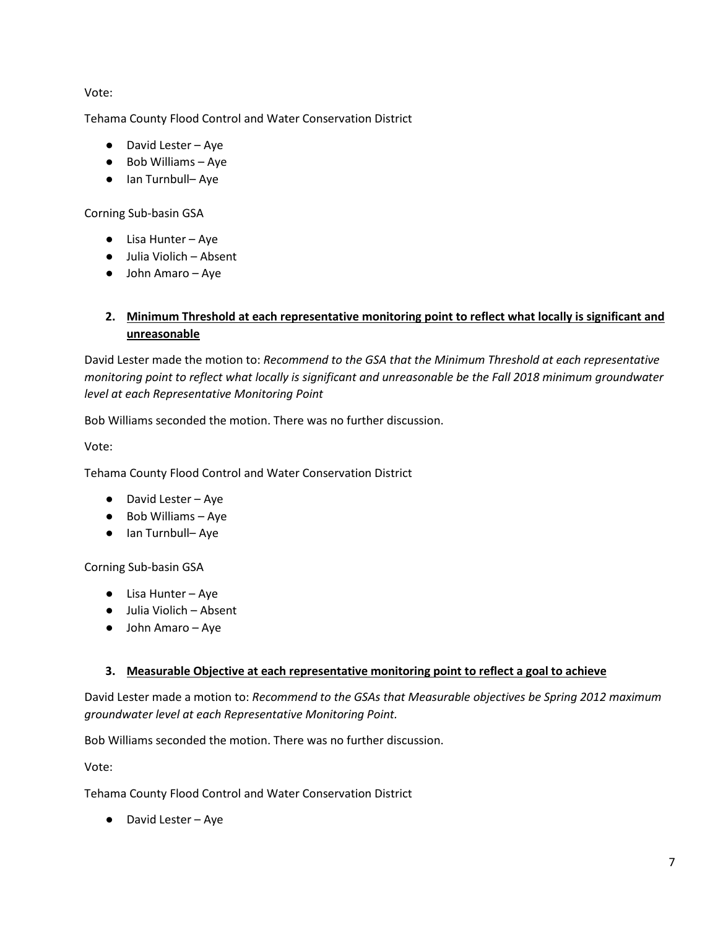Vote:

Tehama County Flood Control and Water Conservation District

- David Lester Aye
- Bob Williams Aye
- Ian Turnbull– Aye

### Corning Sub-basin GSA

- Lisa Hunter Aye
- Julia Violich Absent
- John Amaro Aye

## **2. Minimum Threshold at each representative monitoring point to reflect what locally is significant and unreasonable**

David Lester made the motion to: *Recommend to the GSA that the Minimum Threshold at each representative monitoring point to reflect what locally is significant and unreasonable be the Fall 2018 minimum groundwater level at each Representative Monitoring Point*

Bob Williams seconded the motion. There was no further discussion.

Vote:

Tehama County Flood Control and Water Conservation District

- David Lester Aye
- Bob Williams Aye
- Ian Turnbull– Aye

Corning Sub-basin GSA

- Lisa Hunter Aye
- Julia Violich Absent
- John Amaro Aye

### **3. Measurable Objective at each representative monitoring point to reflect a goal to achieve**

David Lester made a motion to: *Recommend to the GSAs that Measurable objectives be Spring 2012 maximum groundwater level at each Representative Monitoring Point.*

Bob Williams seconded the motion. There was no further discussion.

Vote:

Tehama County Flood Control and Water Conservation District

● David Lester – Aye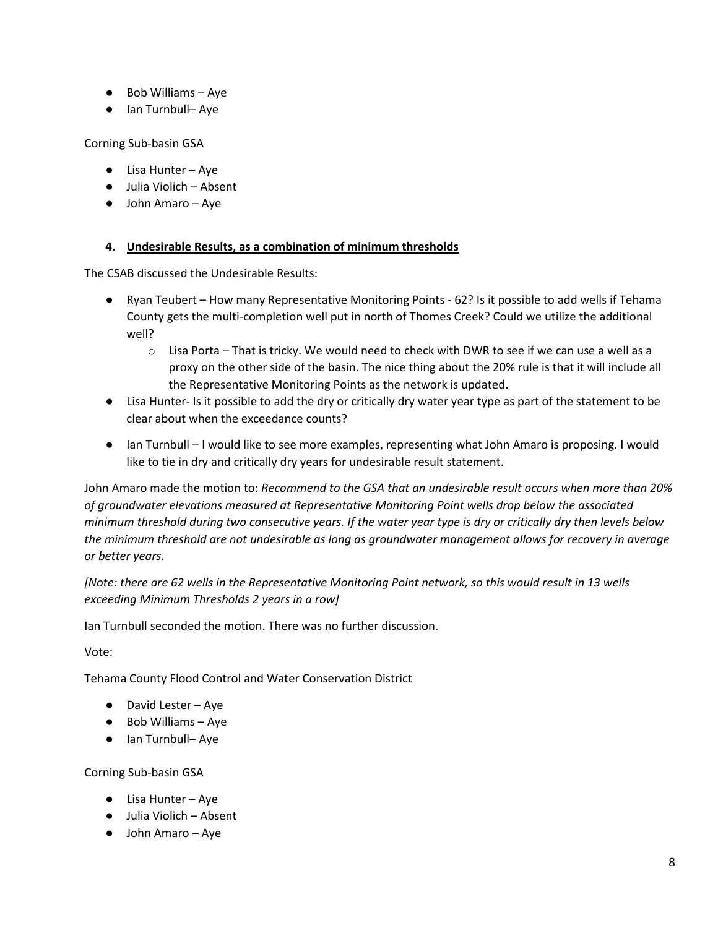- Bob Williams Aye
- Ian Turnbull– Aye

Corning Sub-basin GSA

- Lisa Hunter Aye
- Julia Violich Absent
- John Amaro Aye

### **4. Undesirable Results, as a combination of minimum thresholds**

The CSAB discussed the Undesirable Results:

- Ryan Teubert How many Representative Monitoring Points 62? Is it possible to add wells if Tehama County gets the multi-completion well put in north of Thomes Creek? Could we utilize the additional well?
	- o Lisa Porta That is tricky. We would need to check with DWR to see if we can use a well as a proxy on the other side of the basin. The nice thing about the 20% rule is that it will include all the Representative Monitoring Points as the network is updated.
- Lisa Hunter- Is it possible to add the dry or critically dry water year type as part of the statement to be clear about when the exceedance counts?
- Ian Turnbull I would like to see more examples, representing what John Amaro is proposing. I would like to tie in dry and critically dry years for undesirable result statement.

John Amaro made the motion to: *Recommend to the GSA that an undesirable result occurs when more than 20% of groundwater elevations measured at Representative Monitoring Point wells drop below the associated minimum threshold during two consecutive years. If the water year type is dry or critically dry then levels below the minimum threshold are not undesirable as long as groundwater management allows for recovery in average or better years.*

*[Note: there are 62 wells in the Representative Monitoring Point network, so this would result in 13 wells exceeding Minimum Thresholds 2 years in a row]*

Ian Turnbull seconded the motion. There was no further discussion.

Vote:

Tehama County Flood Control and Water Conservation District

- David Lester Aye
- Bob Williams Aye
- Ian Turnbull– Aye

Corning Sub-basin GSA

- Lisa Hunter Aye
- Julia Violich Absent
- John Amaro Aye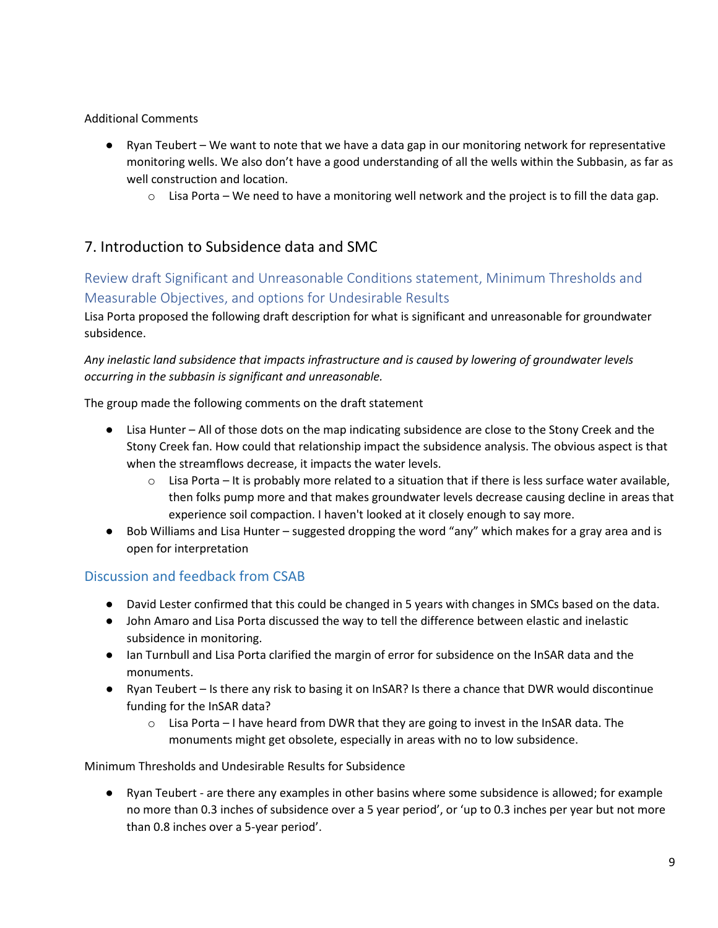### Additional Comments

- Ryan Teubert We want to note that we have a data gap in our monitoring network for representative monitoring wells. We also don't have a good understanding of all the wells within the Subbasin, as far as well construction and location.
	- $\circ$  Lisa Porta We need to have a monitoring well network and the project is to fill the data gap.

# 7. Introduction to Subsidence data and SMC

# Review draft Significant and Unreasonable Conditions statement, Minimum Thresholds and Measurable Objectives, and options for Undesirable Results

Lisa Porta proposed the following draft description for what is significant and unreasonable for groundwater subsidence.

*Any inelastic land subsidence that impacts infrastructure and is caused by lowering of groundwater levels occurring in the subbasin is significant and unreasonable.*

The group made the following comments on the draft statement

- Lisa Hunter All of those dots on the map indicating subsidence are close to the Stony Creek and the Stony Creek fan. How could that relationship impact the subsidence analysis. The obvious aspect is that when the streamflows decrease, it impacts the water levels.
	- $\circ$  Lisa Porta It is probably more related to a situation that if there is less surface water available, then folks pump more and that makes groundwater levels decrease causing decline in areas that experience soil compaction. I haven't looked at it closely enough to say more.
- Bob Williams and Lisa Hunter suggested dropping the word "any" which makes for a gray area and is open for interpretation

# Discussion and feedback from CSAB

- David Lester confirmed that this could be changed in 5 years with changes in SMCs based on the data.
- John Amaro and Lisa Porta discussed the way to tell the difference between elastic and inelastic subsidence in monitoring.
- Ian Turnbull and Lisa Porta clarified the margin of error for subsidence on the InSAR data and the monuments.
- Ryan Teubert Is there any risk to basing it on InSAR? Is there a chance that DWR would discontinue funding for the InSAR data?
	- $\circ$  Lisa Porta I have heard from DWR that they are going to invest in the InSAR data. The monuments might get obsolete, especially in areas with no to low subsidence.

### Minimum Thresholds and Undesirable Results for Subsidence

● Ryan Teubert - are there any examples in other basins where some subsidence is allowed; for example no more than 0.3 inches of subsidence over a 5 year period', or 'up to 0.3 inches per year but not more than 0.8 inches over a 5-year period'.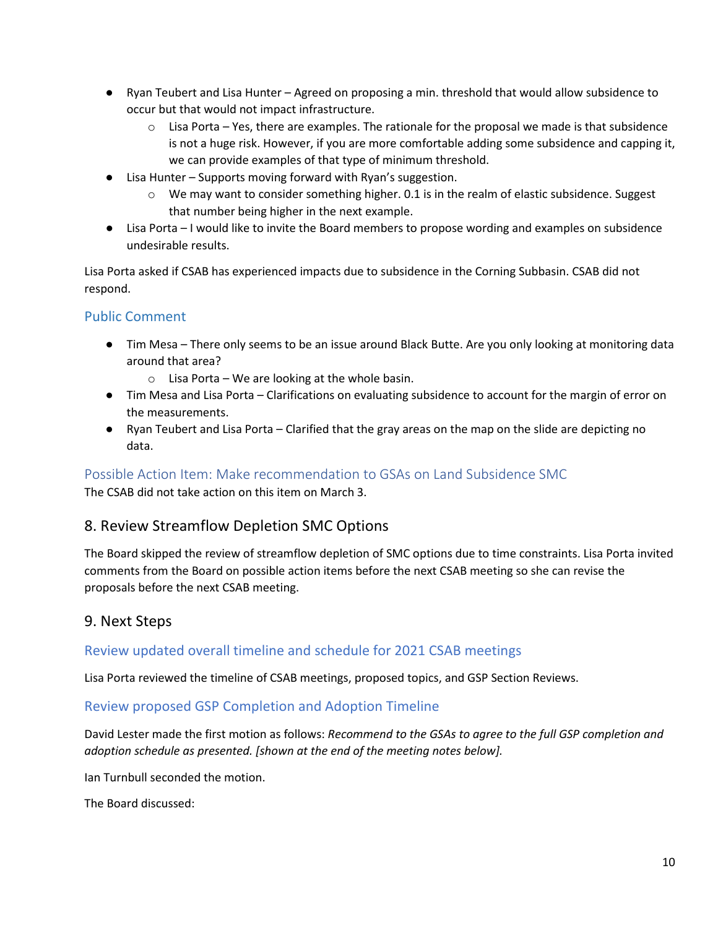- Ryan Teubert and Lisa Hunter Agreed on proposing a min. threshold that would allow subsidence to occur but that would not impact infrastructure.
	- $\circ$  Lisa Porta Yes, there are examples. The rationale for the proposal we made is that subsidence is not a huge risk. However, if you are more comfortable adding some subsidence and capping it, we can provide examples of that type of minimum threshold.
- Lisa Hunter Supports moving forward with Ryan's suggestion.
	- $\circ$  We may want to consider something higher. 0.1 is in the realm of elastic subsidence. Suggest that number being higher in the next example.
- Lisa Porta I would like to invite the Board members to propose wording and examples on subsidence undesirable results.

Lisa Porta asked if CSAB has experienced impacts due to subsidence in the Corning Subbasin. CSAB did not respond.

## Public Comment

- Tim Mesa There only seems to be an issue around Black Butte. Are you only looking at monitoring data around that area?
	- $\circ$  Lisa Porta We are looking at the whole basin.
- Tim Mesa and Lisa Porta Clarifications on evaluating subsidence to account for the margin of error on the measurements.
- Ryan Teubert and Lisa Porta Clarified that the gray areas on the map on the slide are depicting no data.

## Possible Action Item: Make recommendation to GSAs on Land Subsidence SMC

The CSAB did not take action on this item on March 3.

# 8. Review Streamflow Depletion SMC Options

The Board skipped the review of streamflow depletion of SMC options due to time constraints. Lisa Porta invited comments from the Board on possible action items before the next CSAB meeting so she can revise the proposals before the next CSAB meeting.

# 9. Next Steps

## Review updated overall timeline and schedule for 2021 CSAB meetings

Lisa Porta reviewed the timeline of CSAB meetings, proposed topics, and GSP Section Reviews.

## Review proposed GSP Completion and Adoption Timeline

David Lester made the first motion as follows: *Recommend to the GSAs to agree to the full GSP completion and adoption schedule as presented. [shown at the end of the meeting notes below].*

Ian Turnbull seconded the motion.

The Board discussed: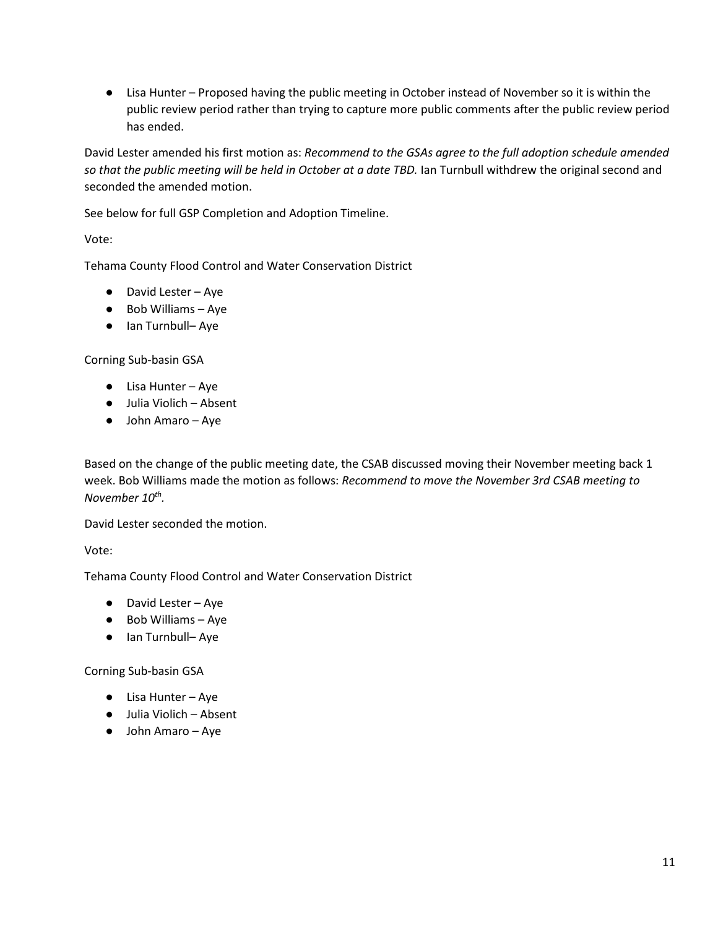● Lisa Hunter – Proposed having the public meeting in October instead of November so it is within the public review period rather than trying to capture more public comments after the public review period has ended.

David Lester amended his first motion as: *Recommend to the GSAs agree to the full adoption schedule amended so that the public meeting will be held in October at a date TBD.* Ian Turnbull withdrew the original second and seconded the amended motion.

See below for full GSP Completion and Adoption Timeline.

Vote:

Tehama County Flood Control and Water Conservation District

- David Lester Aye
- Bob Williams Aye
- Ian Turnbull- Aye

Corning Sub-basin GSA

- Lisa Hunter Aye
- Julia Violich Absent
- John Amaro Aye

Based on the change of the public meeting date, the CSAB discussed moving their November meeting back 1 week. Bob Williams made the motion as follows: *Recommend to move the November 3rd CSAB meeting to November 10th.* 

David Lester seconded the motion.

Vote:

Tehama County Flood Control and Water Conservation District

- David Lester Aye
- Bob Williams Aye
- Ian Turnbull– Aye

Corning Sub-basin GSA

- Lisa Hunter Aye
- Julia Violich Absent
- John Amaro Aye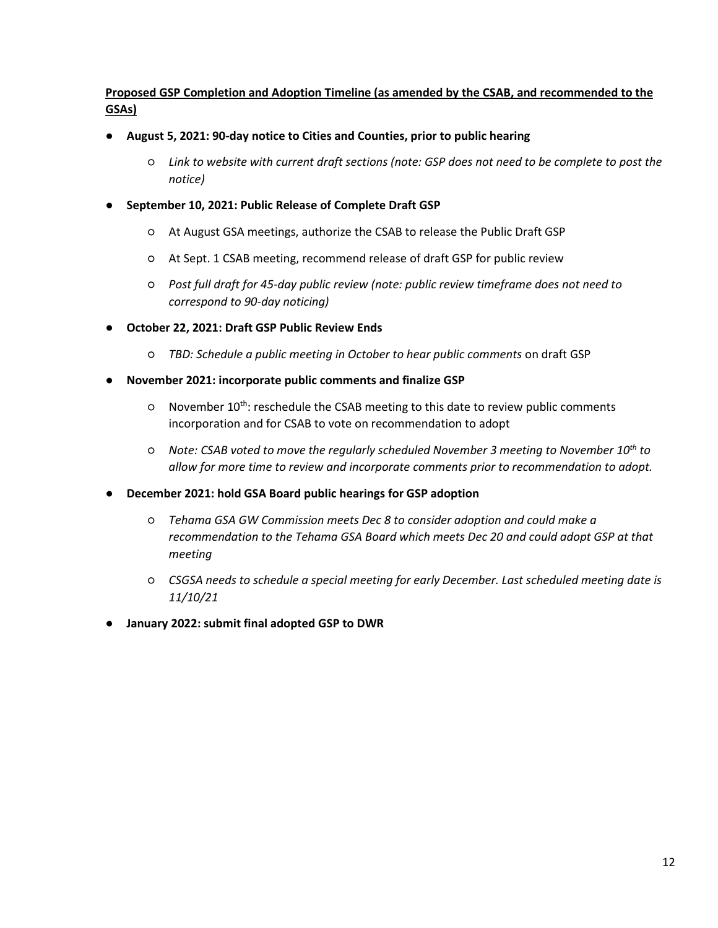### **Proposed GSP Completion and Adoption Timeline (as amended by the CSAB, and recommended to the GSAs)**

- **August 5, 2021: 90-day notice to Cities and Counties, prior to public hearing**
	- *Link to website with current draft sections (note: GSP does not need to be complete to post the notice)*
- **September 10, 2021: Public Release of Complete Draft GSP**
	- At August GSA meetings, authorize the CSAB to release the Public Draft GSP
	- At Sept. 1 CSAB meeting, recommend release of draft GSP for public review
	- *Post full draft for 45-day public review (note: public review timeframe does not need to correspond to 90-day noticing)*
- **October 22, 2021: Draft GSP Public Review Ends**
	- *TBD: Schedule a public meeting in October to hear public comments* on draft GSP
- **November 2021: incorporate public comments and finalize GSP**
	- November 10th: reschedule the CSAB meeting to this date to review public comments incorporation and for CSAB to vote on recommendation to adopt
	- *Note: CSAB voted to move the regularly scheduled November 3 meeting to November 10th to allow for more time to review and incorporate comments prior to recommendation to adopt.*
- **December 2021: hold GSA Board public hearings for GSP adoption**
	- *Tehama GSA GW Commission meets Dec 8 to consider adoption and could make a recommendation to the Tehama GSA Board which meets Dec 20 and could adopt GSP at that meeting*
	- *CSGSA needs to schedule a special meeting for early December. Last scheduled meeting date is 11/10/21*
- **January 2022: submit final adopted GSP to DWR**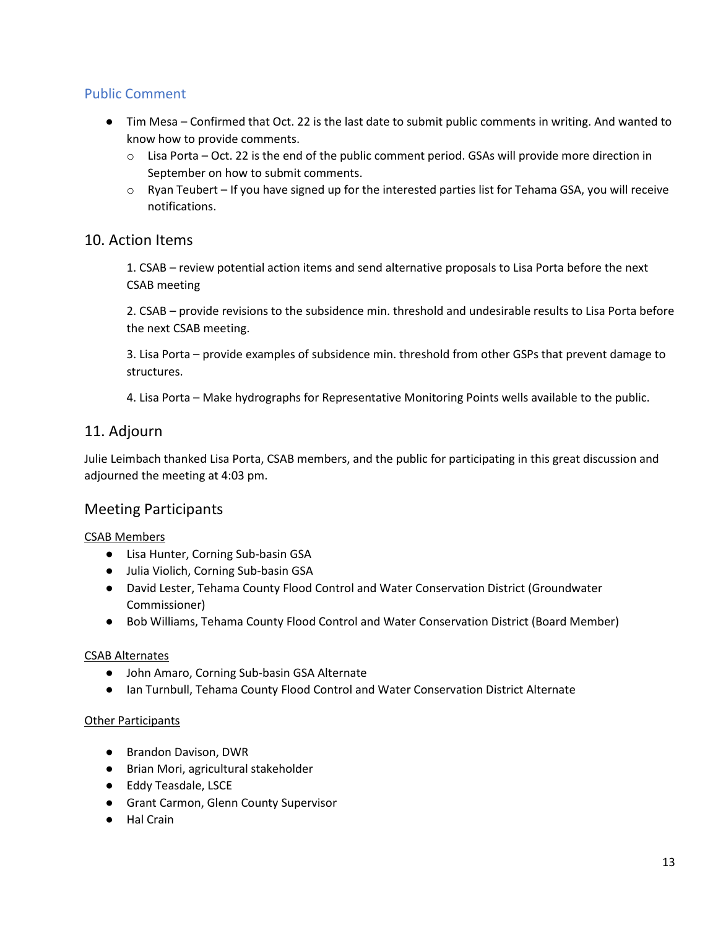## Public Comment

- Tim Mesa Confirmed that Oct. 22 is the last date to submit public comments in writing. And wanted to know how to provide comments.
	- o Lisa Porta Oct. 22 is the end of the public comment period. GSAs will provide more direction in September on how to submit comments.
	- $\circ$  Ryan Teubert If you have signed up for the interested parties list for Tehama GSA, you will receive notifications.

## 10. Action Items

1. CSAB – review potential action items and send alternative proposals to Lisa Porta before the next CSAB meeting

2. CSAB – provide revisions to the subsidence min. threshold and undesirable results to Lisa Porta before the next CSAB meeting.

3. Lisa Porta – provide examples of subsidence min. threshold from other GSPs that prevent damage to structures.

4. Lisa Porta – Make hydrographs for Representative Monitoring Points wells available to the public.

## 11. Adjourn

Julie Leimbach thanked Lisa Porta, CSAB members, and the public for participating in this great discussion and adjourned the meeting at 4:03 pm.

# Meeting Participants

### CSAB Members

- Lisa Hunter, Corning Sub-basin GSA
- Julia Violich, Corning Sub-basin GSA
- David Lester, Tehama County Flood Control and Water Conservation District (Groundwater Commissioner)
- Bob Williams, Tehama County Flood Control and Water Conservation District (Board Member)

#### CSAB Alternates

- John Amaro, Corning Sub-basin GSA Alternate
- Ian Turnbull, Tehama County Flood Control and Water Conservation District Alternate

#### **Other Participants**

- Brandon Davison, DWR
- Brian Mori, agricultural stakeholder
- Eddy Teasdale, LSCE
- Grant Carmon, Glenn County Supervisor
- Hal Crain